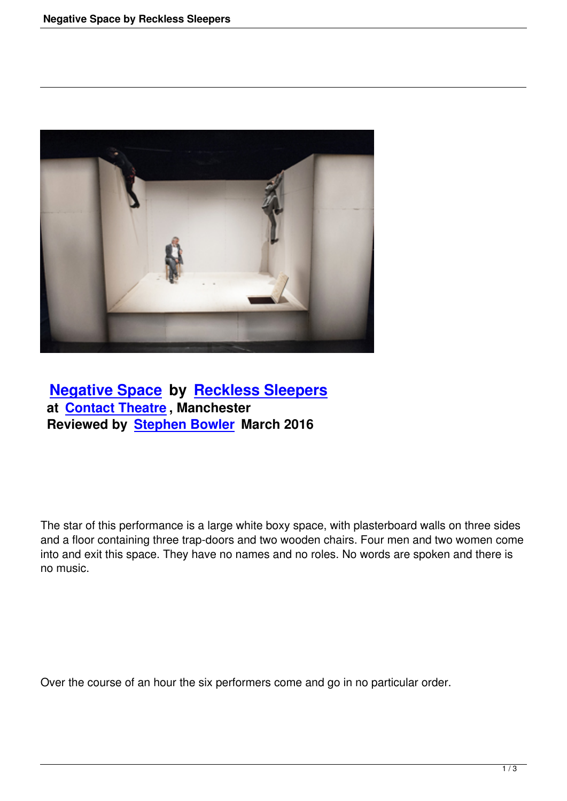

 **Negative Space by Reckless Sleepers at Contact Theatre , Manchester [Reviewed by Step](negative-space-by-reckless-sleepers.html)hen [Bowler March 2016](http://www.reckless-sleepers.eu/)**

The star of this performance is a large white boxy space, with plasterboard walls on three sides and a floor containing three trap-doors and two wooden chairs. Four men and two women come into and exit this space. They have no names and no roles. No words are spoken and there is no music.

Over the course of an hour the six performers come and go in no particular order.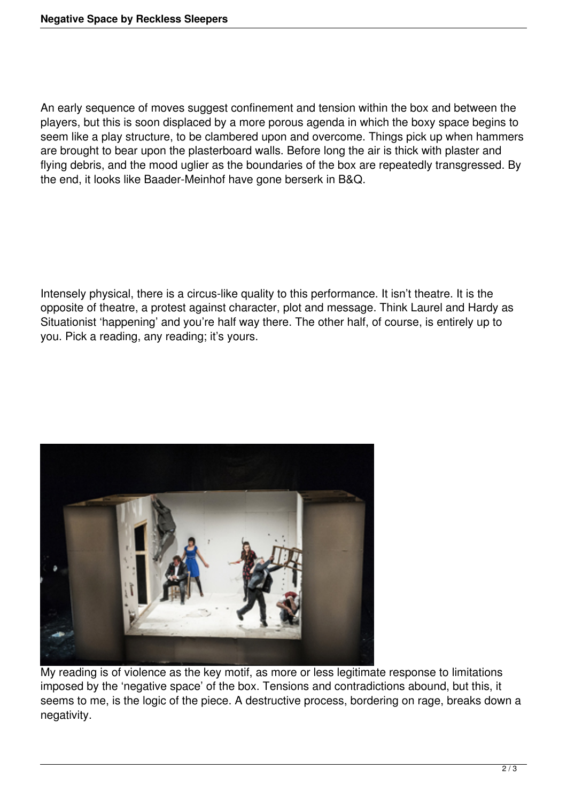An early sequence of moves suggest confinement and tension within the box and between the players, but this is soon displaced by a more porous agenda in which the boxy space begins to seem like a play structure, to be clambered upon and overcome. Things pick up when hammers are brought to bear upon the plasterboard walls. Before long the air is thick with plaster and flying debris, and the mood uglier as the boundaries of the box are repeatedly transgressed. By the end, it looks like Baader-Meinhof have gone berserk in B&Q.

Intensely physical, there is a circus-like quality to this performance. It isn't theatre. It is the opposite of theatre, a protest against character, plot and message. Think Laurel and Hardy as Situationist 'happening' and you're half way there. The other half, of course, is entirely up to you. Pick a reading, any reading; it's yours.



My reading is of violence as the key motif, as more or less legitimate response to limitations imposed by the 'negative space' of the box. Tensions and contradictions abound, but this, it seems to me, is the logic of the piece. A destructive process, bordering on rage, breaks down a negativity.